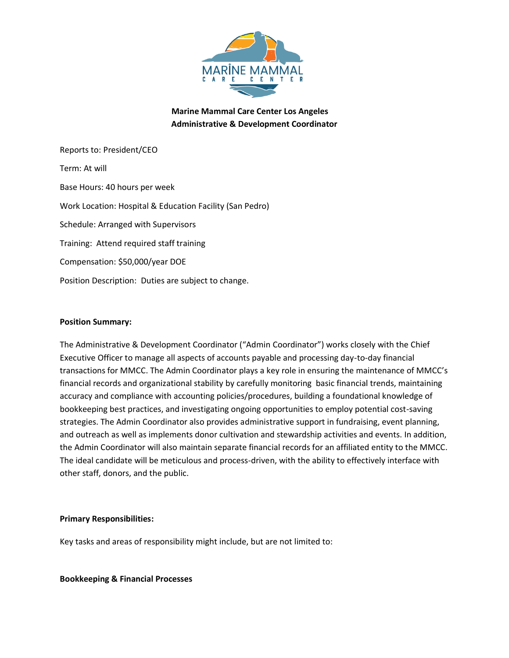

**Marine Mammal Care Center Los Angeles Administrative & Development Coordinator**

Reports to: President/CEO Term: At will Base Hours: 40 hours per week Work Location: Hospital & Education Facility (San Pedro) Schedule: Arranged with Supervisors Training: Attend required staff training Compensation: \$50,000/year DOE Position Description: Duties are subject to change.

#### **Position Summary:**

The Administrative & Development Coordinator ("Admin Coordinator") works closely with the Chief Executive Officer to manage all aspects of accounts payable and processing day-to-day financial transactions for MMCC. The Admin Coordinator plays a key role in ensuring the maintenance of MMCC's financial records and organizational stability by carefully monitoring basic financial trends, maintaining accuracy and compliance with accounting policies/procedures, building a foundational knowledge of bookkeeping best practices, and investigating ongoing opportunities to employ potential cost-saving strategies. The Admin Coordinator also provides administrative support in fundraising, event planning, and outreach as well as implements donor cultivation and stewardship activities and events. In addition, the Admin Coordinator will also maintain separate financial records for an affiliated entity to the MMCC. The ideal candidate will be meticulous and process-driven, with the ability to effectively interface with other staff, donors, and the public.

#### **Primary Responsibilities:**

Key tasks and areas of responsibility might include, but are not limited to:

**Bookkeeping & Financial Processes**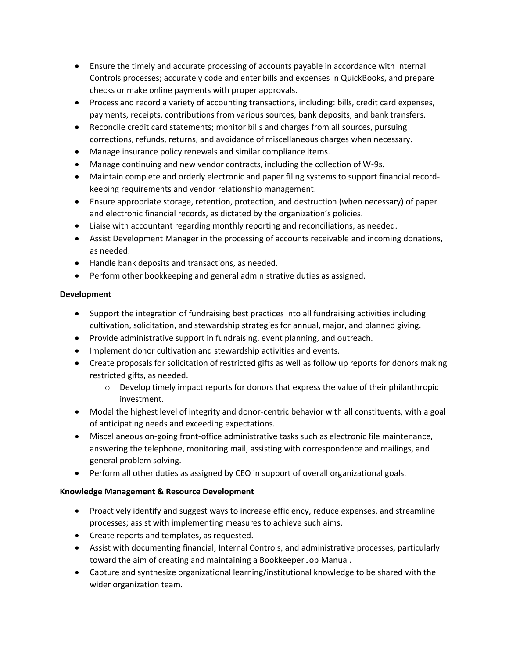- Ensure the timely and accurate processing of accounts payable in accordance with Internal Controls processes; accurately code and enter bills and expenses in QuickBooks, and prepare checks or make online payments with proper approvals.
- Process and record a variety of accounting transactions, including: bills, credit card expenses, payments, receipts, contributions from various sources, bank deposits, and bank transfers.
- Reconcile credit card statements; monitor bills and charges from all sources, pursuing corrections, refunds, returns, and avoidance of miscellaneous charges when necessary.
- Manage insurance policy renewals and similar compliance items.
- Manage continuing and new vendor contracts, including the collection of W-9s.
- Maintain complete and orderly electronic and paper filing systems to support financial recordkeeping requirements and vendor relationship management.
- Ensure appropriate storage, retention, protection, and destruction (when necessary) of paper and electronic financial records, as dictated by the organization's policies.
- Liaise with accountant regarding monthly reporting and reconciliations, as needed.
- Assist Development Manager in the processing of accounts receivable and incoming donations, as needed.
- Handle bank deposits and transactions, as needed.
- Perform other bookkeeping and general administrative duties as assigned.

# **Development**

- Support the integration of fundraising best practices into all fundraising activities including cultivation, solicitation, and stewardship strategies for annual, major, and planned giving.
- Provide administrative support in fundraising, event planning, and outreach.
- Implement donor cultivation and stewardship activities and events.
- Create proposals for solicitation of restricted gifts as well as follow up reports for donors making restricted gifts, as needed.
	- $\circ$  Develop timely impact reports for donors that express the value of their philanthropic investment.
- Model the highest level of integrity and donor-centric behavior with all constituents, with a goal of anticipating needs and exceeding expectations.
- Miscellaneous on-going front-office administrative tasks such as electronic file maintenance, answering the telephone, monitoring mail, assisting with correspondence and mailings, and general problem solving.
- Perform all other duties as assigned by CEO in support of overall organizational goals.

# **Knowledge Management & Resource Development**

- Proactively identify and suggest ways to increase efficiency, reduce expenses, and streamline processes; assist with implementing measures to achieve such aims.
- Create reports and templates, as requested.
- Assist with documenting financial, Internal Controls, and administrative processes, particularly toward the aim of creating and maintaining a Bookkeeper Job Manual.
- Capture and synthesize organizational learning/institutional knowledge to be shared with the wider organization team.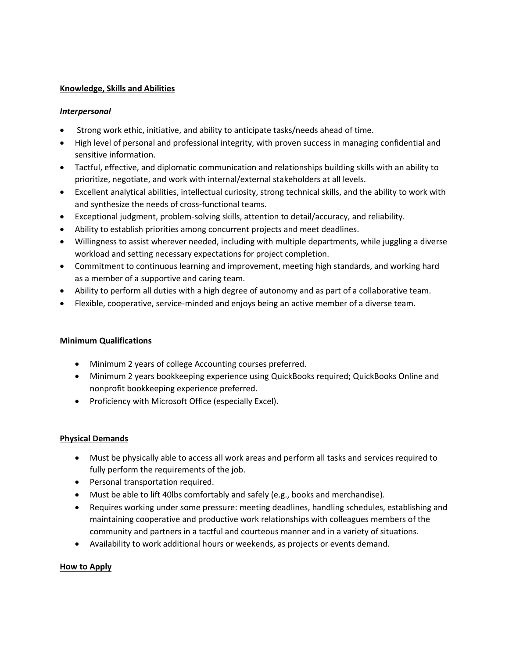## **Knowledge, Skills and Abilities**

## *Interpersonal*

- Strong work ethic, initiative, and ability to anticipate tasks/needs ahead of time.
- High level of personal and professional integrity, with proven success in managing confidential and sensitive information.
- Tactful, effective, and diplomatic communication and relationships building skills with an ability to prioritize, negotiate, and work with internal/external stakeholders at all levels.
- Excellent analytical abilities, intellectual curiosity, strong technical skills, and the ability to work with and synthesize the needs of cross-functional teams.
- Exceptional judgment, problem-solving skills, attention to detail/accuracy, and reliability.
- Ability to establish priorities among concurrent projects and meet deadlines.
- Willingness to assist wherever needed, including with multiple departments, while juggling a diverse workload and setting necessary expectations for project completion.
- Commitment to continuous learning and improvement, meeting high standards, and working hard as a member of a supportive and caring team.
- Ability to perform all duties with a high degree of autonomy and as part of a collaborative team.
- Flexible, cooperative, service-minded and enjoys being an active member of a diverse team.

# **Minimum Qualifications**

- Minimum 2 years of college Accounting courses preferred.
- Minimum 2 years bookkeeping experience using QuickBooks required; QuickBooks Online and nonprofit bookkeeping experience preferred.
- Proficiency with Microsoft Office (especially Excel).

### **Physical Demands**

- Must be physically able to access all work areas and perform all tasks and services required to fully perform the requirements of the job.
- Personal transportation required.
- Must be able to lift 40lbs comfortably and safely (e.g., books and merchandise).
- Requires working under some pressure: meeting deadlines, handling schedules, establishing and maintaining cooperative and productive work relationships with colleagues members of the community and partners in a tactful and courteous manner and in a variety of situations.
- Availability to work additional hours or weekends, as projects or events demand.

# **How to Apply**